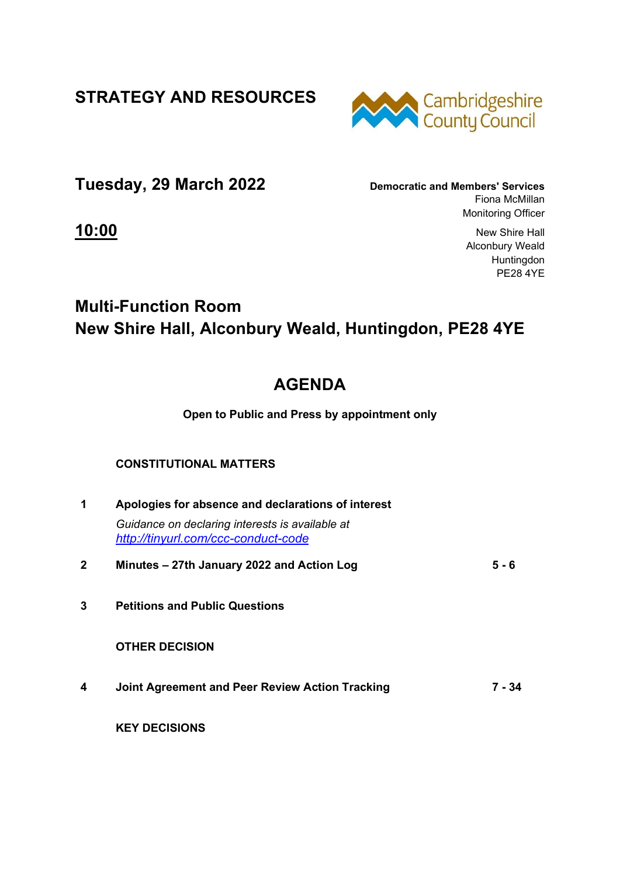**STRATEGY AND RESOURCES** 



**Tuesday, 29 March 2022 Democratic and Members' Services**

Fiona McMillan Monitoring Officer

**10:00** New Shire Hall Alconbury Weald Huntingdon PE28 4YE

## **Multi-Function Room New Shire Hall, Alconbury Weald, Huntingdon, PE28 4YE**

## **AGENDA**

**Open to Public and Press by appointment only** 

## **CONSTITUTIONAL MATTERS**

| 1 | Apologies for absence and declarations of interest                                     |       |  |
|---|----------------------------------------------------------------------------------------|-------|--|
|   | Guidance on declaring interests is available at<br>http://tinyurl.com/ccc-conduct-code |       |  |
| 2 | Minutes – 27th January 2022 and Action Log                                             | 5 - 6 |  |
| 3 | <b>Petitions and Public Questions</b>                                                  |       |  |
|   | <b>OTHER DECISION</b>                                                                  |       |  |
|   |                                                                                        |       |  |

**4 Joint Agreement and Peer Review Action Tracking 7 - 34**

 **KEY DECISIONS**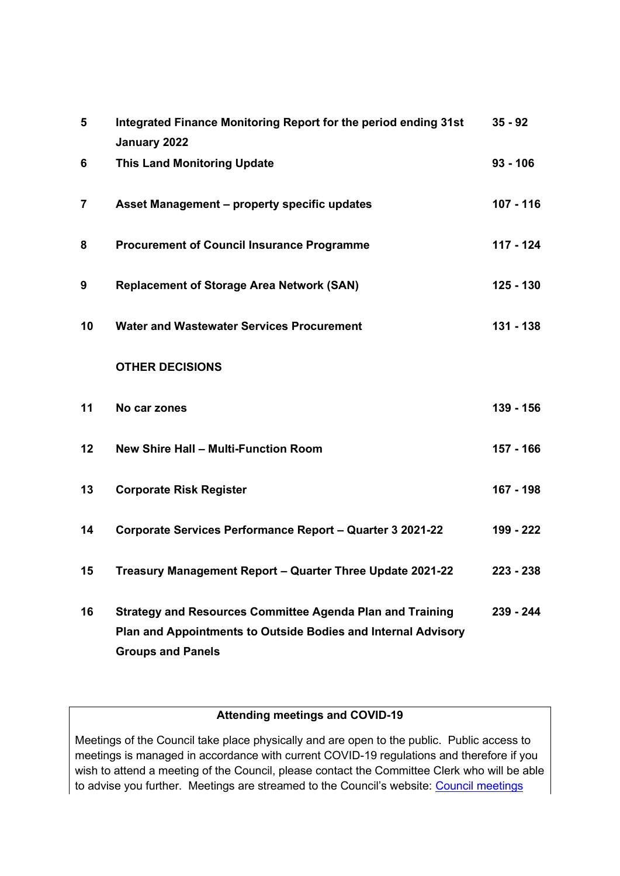| 5  | Integrated Finance Monitoring Report for the period ending 31st<br>January 2022                                                                               | $35 - 92$   |
|----|---------------------------------------------------------------------------------------------------------------------------------------------------------------|-------------|
| 6  | <b>This Land Monitoring Update</b>                                                                                                                            | $93 - 106$  |
| 7  | Asset Management - property specific updates                                                                                                                  | $107 - 116$ |
| 8  | <b>Procurement of Council Insurance Programme</b>                                                                                                             | 117 - 124   |
| 9  | <b>Replacement of Storage Area Network (SAN)</b>                                                                                                              | 125 - 130   |
| 10 | <b>Water and Wastewater Services Procurement</b>                                                                                                              | 131 - 138   |
|    | <b>OTHER DECISIONS</b>                                                                                                                                        |             |
| 11 | No car zones                                                                                                                                                  | 139 - 156   |
| 12 | <b>New Shire Hall - Multi-Function Room</b>                                                                                                                   | 157 - 166   |
| 13 | <b>Corporate Risk Register</b>                                                                                                                                | 167 - 198   |
| 14 | Corporate Services Performance Report - Quarter 3 2021-22                                                                                                     | 199 - 222   |
| 15 | Treasury Management Report - Quarter Three Update 2021-22                                                                                                     | $223 - 238$ |
| 16 | <b>Strategy and Resources Committee Agenda Plan and Training</b><br>Plan and Appointments to Outside Bodies and Internal Advisory<br><b>Groups and Panels</b> | 239 - 244   |

## **Attending meetings and COVID-19**

Meetings of the Council take place physically and are open to the public. Public access to meetings is managed in accordance with current COVID-19 regulations and therefore if you wish to attend a meeting of the Council, please contact the Committee Clerk who will be able to advise you further. Meetings are streamed to the Council's website: Council meetings